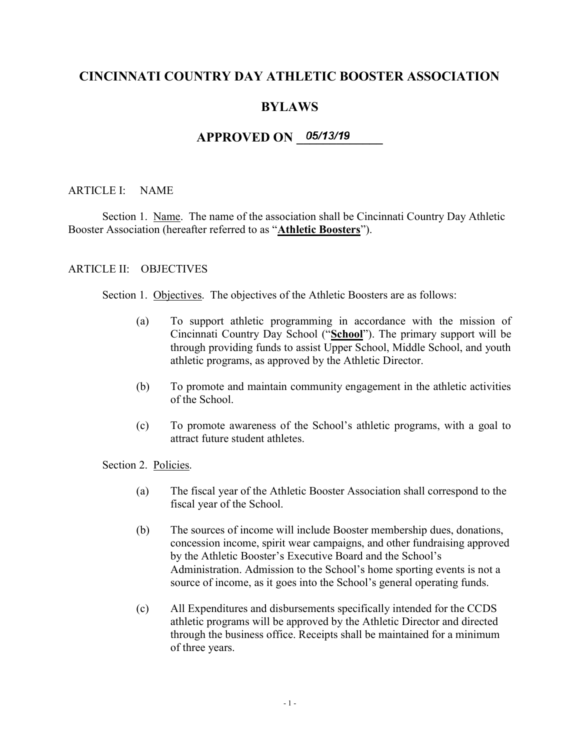# CINCINNATI COUNTRY DAY ATHLETIC BOOSTER ASSOCIATION

# BYLAWS

# $APPROVED ON$   $05/13/19$

### ARTICLE I: NAME

Section 1. Name. The name of the association shall be Cincinnati Country Day Athletic Booster Association (hereafter referred to as "Athletic Boosters").

#### ARTICLE II: OBJECTIVES

Section 1. Objectives. The objectives of the Athletic Boosters are as follows:

- (a) To support athletic programming in accordance with the mission of Cincinnati Country Day School ("School"). The primary support will be through providing funds to assist Upper School, Middle School, and youth athletic programs, as approved by the Athletic Director.
- (b) To promote and maintain community engagement in the athletic activities of the School.
- (c) To promote awareness of the School's athletic programs, with a goal to attract future student athletes.

Section 2. Policies.

- (a) The fiscal year of the Athletic Booster Association shall correspond to the fiscal year of the School.
- (b) The sources of income will include Booster membership dues, donations, concession income, spirit wear campaigns, and other fundraising approved by the Athletic Booster's Executive Board and the School's Administration. Admission to the School's home sporting events is not a source of income, as it goes into the School's general operating funds.
- (c) All Expenditures and disbursements specifically intended for the CCDS athletic programs will be approved by the Athletic Director and directed through the business office. Receipts shall be maintained for a minimum of three years.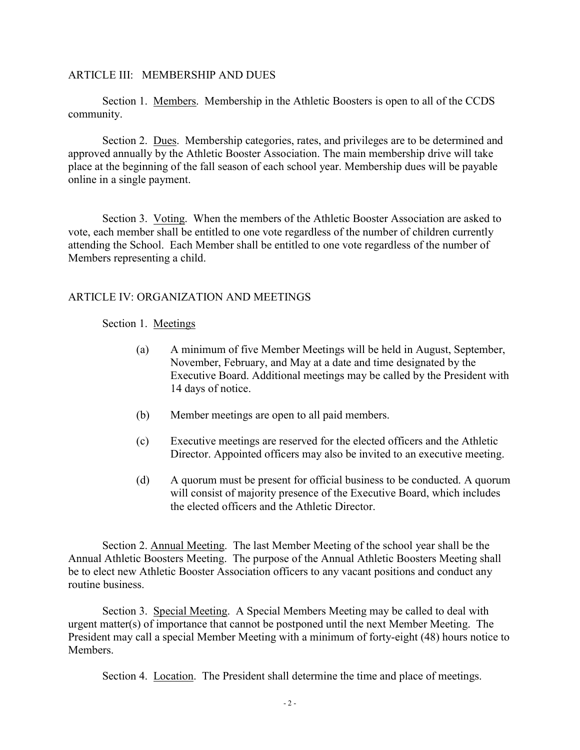#### ARTICLE III: MEMBERSHIP AND DUES

Section 1. Members. Membership in the Athletic Boosters is open to all of the CCDS community.

Section 2. Dues. Membership categories, rates, and privileges are to be determined and approved annually by the Athletic Booster Association. The main membership drive will take place at the beginning of the fall season of each school year. Membership dues will be payable online in a single payment.

Section 3. Voting. When the members of the Athletic Booster Association are asked to vote, each member shall be entitled to one vote regardless of the number of children currently attending the School. Each Member shall be entitled to one vote regardless of the number of Members representing a child.

#### ARTICLE IV: ORGANIZATION AND MEETINGS

#### Section 1. Meetings

- (a) A minimum of five Member Meetings will be held in August, September, November, February, and May at a date and time designated by the Executive Board. Additional meetings may be called by the President with 14 days of notice.
- (b) Member meetings are open to all paid members.
- (c) Executive meetings are reserved for the elected officers and the Athletic Director. Appointed officers may also be invited to an executive meeting.
- (d) A quorum must be present for official business to be conducted. A quorum will consist of majority presence of the Executive Board, which includes the elected officers and the Athletic Director.

Section 2. Annual Meeting. The last Member Meeting of the school year shall be the Annual Athletic Boosters Meeting. The purpose of the Annual Athletic Boosters Meeting shall be to elect new Athletic Booster Association officers to any vacant positions and conduct any routine business.

Section 3. Special Meeting. A Special Members Meeting may be called to deal with urgent matter(s) of importance that cannot be postponed until the next Member Meeting. The President may call a special Member Meeting with a minimum of forty-eight (48) hours notice to Members.

Section 4. Location. The President shall determine the time and place of meetings.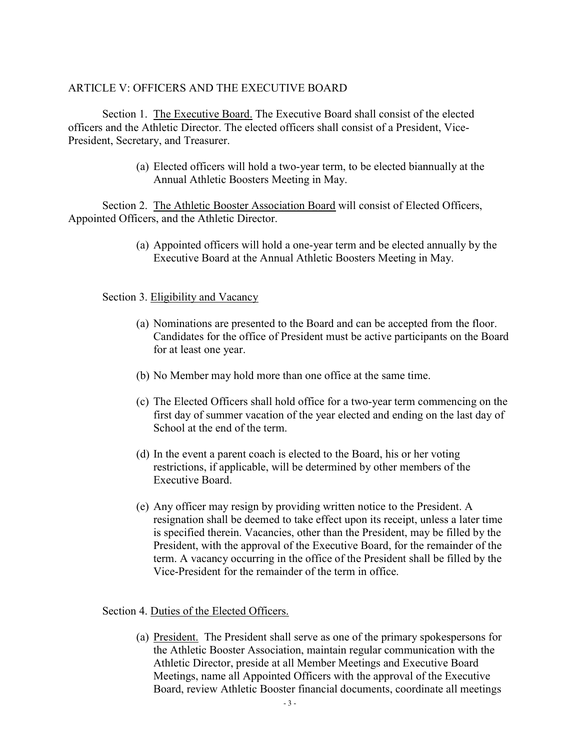### ARTICLE V: OFFICERS AND THE EXECUTIVE BOARD

Section 1. The Executive Board. The Executive Board shall consist of the elected officers and the Athletic Director. The elected officers shall consist of a President, Vice-President, Secretary, and Treasurer.

> (a) Elected officers will hold a two-year term, to be elected biannually at the Annual Athletic Boosters Meeting in May.

Section 2. The Athletic Booster Association Board will consist of Elected Officers, Appointed Officers, and the Athletic Director.

> (a) Appointed officers will hold a one-year term and be elected annually by the Executive Board at the Annual Athletic Boosters Meeting in May.

#### Section 3. Eligibility and Vacancy

- (a) Nominations are presented to the Board and can be accepted from the floor. Candidates for the office of President must be active participants on the Board for at least one year.
- (b) No Member may hold more than one office at the same time.
- (c) The Elected Officers shall hold office for a two-year term commencing on the first day of summer vacation of the year elected and ending on the last day of School at the end of the term.
- (d) In the event a parent coach is elected to the Board, his or her voting restrictions, if applicable, will be determined by other members of the Executive Board.
- (e) Any officer may resign by providing written notice to the President. A resignation shall be deemed to take effect upon its receipt, unless a later time is specified therein. Vacancies, other than the President, may be filled by the President, with the approval of the Executive Board, for the remainder of the term. A vacancy occurring in the office of the President shall be filled by the Vice-President for the remainder of the term in office.

Section 4. Duties of the Elected Officers.

(a) President. The President shall serve as one of the primary spokespersons for the Athletic Booster Association, maintain regular communication with the Athletic Director, preside at all Member Meetings and Executive Board Meetings, name all Appointed Officers with the approval of the Executive Board, review Athletic Booster financial documents, coordinate all meetings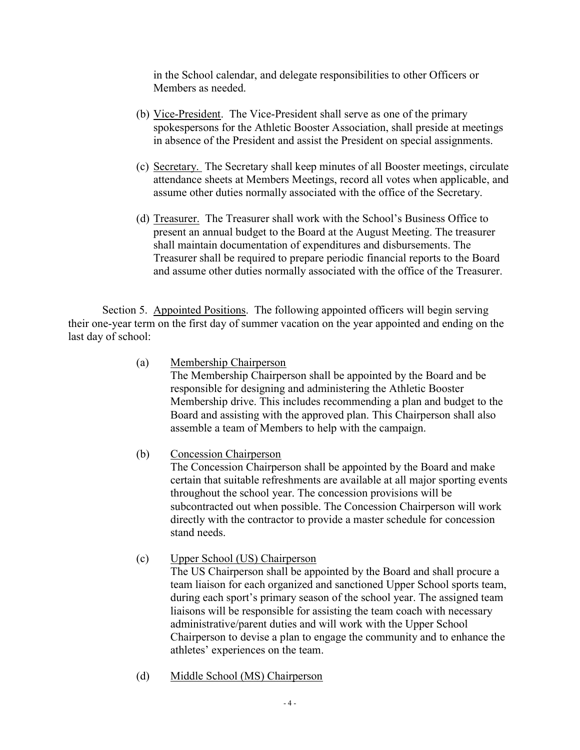in the School calendar, and delegate responsibilities to other Officers or Members as needed.

- (b) Vice-President. The Vice-President shall serve as one of the primary spokespersons for the Athletic Booster Association, shall preside at meetings in absence of the President and assist the President on special assignments.
- (c) Secretary. The Secretary shall keep minutes of all Booster meetings, circulate attendance sheets at Members Meetings, record all votes when applicable, and assume other duties normally associated with the office of the Secretary.
- (d) Treasurer. The Treasurer shall work with the School's Business Office to present an annual budget to the Board at the August Meeting. The treasurer shall maintain documentation of expenditures and disbursements. The Treasurer shall be required to prepare periodic financial reports to the Board and assume other duties normally associated with the office of the Treasurer.

Section 5. Appointed Positions. The following appointed officers will begin serving their one-year term on the first day of summer vacation on the year appointed and ending on the last day of school:

(a) Membership Chairperson

The Membership Chairperson shall be appointed by the Board and be responsible for designing and administering the Athletic Booster Membership drive. This includes recommending a plan and budget to the Board and assisting with the approved plan. This Chairperson shall also assemble a team of Members to help with the campaign.

(b) Concession Chairperson

The Concession Chairperson shall be appointed by the Board and make certain that suitable refreshments are available at all major sporting events throughout the school year. The concession provisions will be subcontracted out when possible. The Concession Chairperson will work directly with the contractor to provide a master schedule for concession stand needs.

(c) Upper School (US) Chairperson

The US Chairperson shall be appointed by the Board and shall procure a team liaison for each organized and sanctioned Upper School sports team, during each sport's primary season of the school year. The assigned team liaisons will be responsible for assisting the team coach with necessary administrative/parent duties and will work with the Upper School Chairperson to devise a plan to engage the community and to enhance the athletes' experiences on the team.

(d) Middle School (MS) Chairperson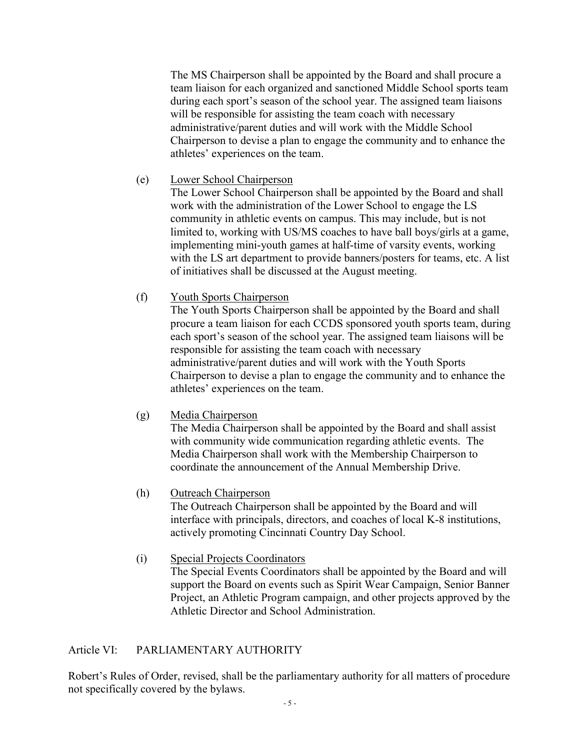The MS Chairperson shall be appointed by the Board and shall procure a team liaison for each organized and sanctioned Middle School sports team during each sport's season of the school year. The assigned team liaisons will be responsible for assisting the team coach with necessary administrative/parent duties and will work with the Middle School Chairperson to devise a plan to engage the community and to enhance the athletes' experiences on the team.

## (e) Lower School Chairperson

The Lower School Chairperson shall be appointed by the Board and shall work with the administration of the Lower School to engage the LS community in athletic events on campus. This may include, but is not limited to, working with US/MS coaches to have ball boys/girls at a game, implementing mini-youth games at half-time of varsity events, working with the LS art department to provide banners/posters for teams, etc. A list of initiatives shall be discussed at the August meeting.

### (f) Youth Sports Chairperson

The Youth Sports Chairperson shall be appointed by the Board and shall procure a team liaison for each CCDS sponsored youth sports team, during each sport's season of the school year. The assigned team liaisons will be responsible for assisting the team coach with necessary administrative/parent duties and will work with the Youth Sports Chairperson to devise a plan to engage the community and to enhance the athletes' experiences on the team.

# (g) Media Chairperson

The Media Chairperson shall be appointed by the Board and shall assist with community wide communication regarding athletic events. The Media Chairperson shall work with the Membership Chairperson to coordinate the announcement of the Annual Membership Drive.

# (h) Outreach Chairperson

The Outreach Chairperson shall be appointed by the Board and will interface with principals, directors, and coaches of local K-8 institutions, actively promoting Cincinnati Country Day School.

(i) Special Projects Coordinators The Special Events Coordinators shall be appointed by the Board and will support the Board on events such as Spirit Wear Campaign, Senior Banner Project, an Athletic Program campaign, and other projects approved by the Athletic Director and School Administration.

# Article VI: PARLIAMENTARY AUTHORITY

Robert's Rules of Order, revised, shall be the parliamentary authority for all matters of procedure not specifically covered by the bylaws.